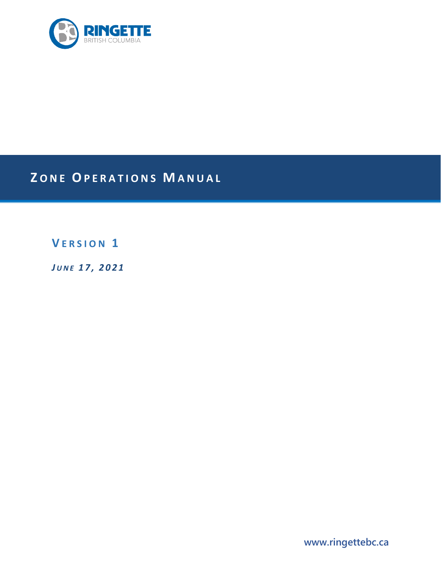

# **Z ONE OPERATIONS M ANUAL**

**V ERSION 1**

*J UNE 1 7 , 2021*

**www.ringettebc.ca**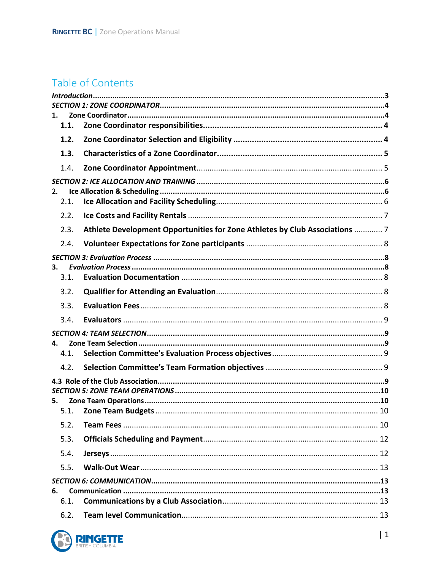## Table of Contents

| 1.   |                                                                             |  |  |  |
|------|-----------------------------------------------------------------------------|--|--|--|
| 1.1. |                                                                             |  |  |  |
| 1.2. |                                                                             |  |  |  |
| 1.3. |                                                                             |  |  |  |
| 1.4. |                                                                             |  |  |  |
|      |                                                                             |  |  |  |
| 2.   |                                                                             |  |  |  |
| 2.1. |                                                                             |  |  |  |
| 2.2. |                                                                             |  |  |  |
| 2.3. | Athlete Development Opportunities for Zone Athletes by Club Associations  7 |  |  |  |
| 2.4. |                                                                             |  |  |  |
|      |                                                                             |  |  |  |
| 3.   |                                                                             |  |  |  |
| 3.1. |                                                                             |  |  |  |
| 3.2. |                                                                             |  |  |  |
| 3.3. |                                                                             |  |  |  |
| 3.4. |                                                                             |  |  |  |
|      |                                                                             |  |  |  |
| 4.   |                                                                             |  |  |  |
| 4.1. |                                                                             |  |  |  |
| 4.2. |                                                                             |  |  |  |
|      |                                                                             |  |  |  |
|      |                                                                             |  |  |  |
| 5.   |                                                                             |  |  |  |
|      |                                                                             |  |  |  |
| 5.2. |                                                                             |  |  |  |
| 5.3. |                                                                             |  |  |  |
| 5.4. |                                                                             |  |  |  |
| 5.5. |                                                                             |  |  |  |
|      |                                                                             |  |  |  |
| 6.   |                                                                             |  |  |  |
| 6.1. |                                                                             |  |  |  |
|      |                                                                             |  |  |  |

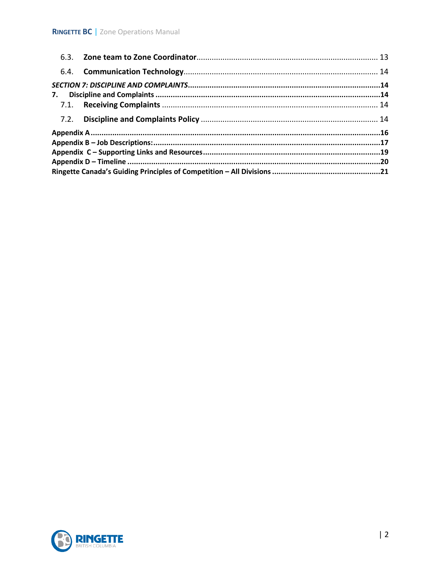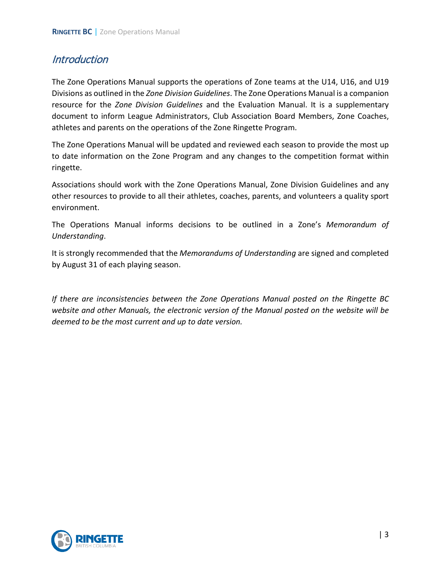### <span id="page-3-0"></span>**Introduction**

The Zone Operations Manual supports the operations of Zone teams at the U14, U16, and U19 Divisions as outlined in the *Zone Division Guidelines*. The Zone Operations Manual is a companion resource for the *Zone Division Guidelines* and the Evaluation Manual. It is a supplementary document to inform League Administrators, Club Association Board Members, Zone Coaches, athletes and parents on the operations of the Zone Ringette Program.

The Zone Operations Manual will be updated and reviewed each season to provide the most up to date information on the Zone Program and any changes to the competition format within ringette.

Associations should work with the Zone Operations Manual, Zone Division Guidelines and any other resources to provide to all their athletes, coaches, parents, and volunteers a quality sport environment.

The Operations Manual informs decisions to be outlined in a Zone's *Memorandum of Understanding*.

It is strongly recommended that the *Memorandums of Understanding* are signed and completed by August 31 of each playing season.

*If there are inconsistencies between the Zone Operations Manual posted on the Ringette BC website and other Manuals, the electronic version of the Manual posted on the website will be deemed to be the most current and up to date version.* 

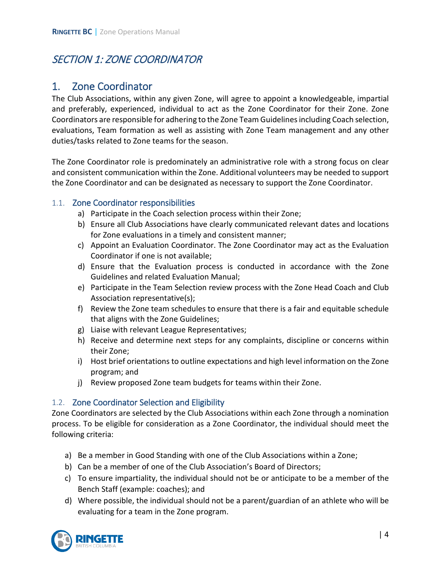## <span id="page-4-1"></span><span id="page-4-0"></span>SECTION 1: ZONE COORDINATOR

### 1. Zone Coordinator

The Club Associations, within any given Zone, will agree to appoint a knowledgeable, impartial and preferably, experienced, individual to act as the Zone Coordinator for their Zone. Zone Coordinators are responsible for adhering to the Zone Team Guidelines including Coach selection, evaluations, Team formation as well as assisting with Zone Team management and any other duties/tasks related to Zone teams for the season.

The Zone Coordinator role is predominately an administrative role with a strong focus on clear and consistent communication within the Zone. Additional volunteers may be needed to support the Zone Coordinator and can be designated as necessary to support the Zone Coordinator.

### <span id="page-4-2"></span>1.1. Zone Coordinator responsibilities

- 
- a) Participate in the Coach selection process within their Zone;<br>b) Ensure all Club Associations have clearly communicated relevant dates and locations for Zone evaluations in a timely and consistent manner;
- c) Appoint an Evaluation Coordinator. The Zone Coordinator may act as the Evaluation Coordinator if one is not available; d) Ensure that the Evaluation process is conducted in accordance with the Zone
- Guidelines and related Evaluation Manual;
- e) Participate in the Team Selection review process with the Zone Head Coach and Club
- Association representative(s);<br>f) Review the Zone team schedules to ensure that there is a fair and equitable schedule
- 
- that aligns with the Zone Guidelines;<br>
g) Liaise with relevant League Representatives;<br>
h) Receive and determine next steps for any complaints, discipline or concerns within
- their Zone;<br>i) Host brief orientations to outline expectations and high level information on the Zone program; and
- j) Review proposed Zone team budgets for teams within their Zone.

### <span id="page-4-3"></span>1.2. Zone Coordinator Selection and Eligibility

Zone Coordinators are selected by the Club Associations within each Zone through a nomination process. To be eligible for consideration as a Zone Coordinator, the individual should meet the following criteria:

- a) Be a member in Good Standing with one of the Club Associations within a Zone;
- b) Can be a member of one of the Club Association's Board of Directors;
- c) To ensure impartiality, the individual should not be or anticipate to be a member of the Bench Staff (example: coaches); and
- d) Where possible, the individual should not be a parent/guardian of an athlete who will be evaluating for a team in the Zone program.

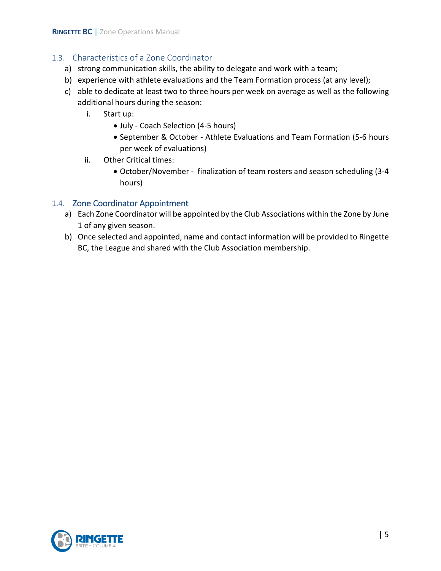### <span id="page-5-0"></span>1.3. Characteristics of a Zone Coordinator

- a) strong communication skills, the ability to delegate and work with a team;
- b) experience with athlete evaluations and the Team Formation process (at any level);
- c) able to dedicate at least two to three hours per week on average as well as the following additional hours during the season:
	- i. Start up:
		- July Coach Selection (4-5 hours)
		- September & October Athlete Evaluations and Team Formation (5-6 hours per week of evaluations)
	- ii. Other Critical times:
		- October/November finalization of team rosters and season scheduling (3-4 hours)

### <span id="page-5-1"></span>1.4. Zone Coordinator Appointment

- a) Each Zone Coordinator will be appointed by the Club Associations within the Zone by June 1 of any given season.
- b) Once selected and appointed, name and contact information will be provided to Ringette BC, the League and shared with the Club Association membership.

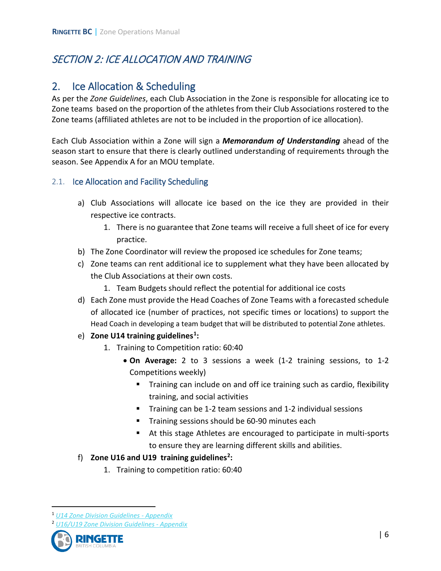## <span id="page-6-1"></span><span id="page-6-0"></span>SECTION 2: ICE ALLOCATION AND TRAINING

### 2. Ice Allocation & Scheduling

As per the *Zone Guidelines*, each Club Association in the Zone is responsible for allocating ice to Zone teams based on the proportion of the athletes from their Club Associations rostered to the Zone teams (affiliated athletes are not to be included in the proportion of ice allocation).

Each Club Association within a Zone will sign a *Memorandum of Understanding* ahead of the season start to ensure that there is clearly outlined understanding of requirements through the season. See Appendix A for an MOU template.

### <span id="page-6-2"></span>2.1. Ice Allocation and Facility Scheduling

- a) Club Associations will allocate ice based on the ice they are provided in their respective ice contracts.
	- 1. There is no guarantee that Zone teams will receive a full sheet of ice for every practice.
- b) The Zone Coordinator will review the proposed ice schedules for Zone teams;
- c) Zone teams can rent additional ice to supplement what they have been allocated by the Club Associations at their own costs.
	- 1. Team Budgets should reflect the potential for additional ice costs
- d) Each Zone must provide the Head Coaches of Zone Teams with a forecasted schedule of allocated ice (number of practices, not specific times or locations) to support the Head Coach in developing a team budget that will be distributed to potential Zone athletes.
- e) **Zone U14 training guidelines[1](#page-6-3):** 
	- 1. Training to Competition ratio: 60:40
		- **On Average:** 2 to 3 sessions a week (1-2 training sessions, to 1-2 Competitions weekly)
			- **Training can include on and off ice training such as cardio, flexibility** training, and social activities
			- Training can be 1-2 team sessions and 1-2 individual sessions
			- **Training sessions should be 60-90 minutes each**
			- At this stage Athletes are encouraged to participate in multi-sports to ensure they are learning different skills and abilities.
- f) **Zone U16 and U19 training guidelines[2:](#page-6-4)** 
	- 1. Training to competition ratio: 60:40

<span id="page-6-4"></span><span id="page-6-3"></span><sup>2</sup> *[U16/U19 Zone Division Guidelines -](https://www.ringettebc.ca/wp-content/uploads/2020/04/Ringette-BC-U16-U19-Zone-Division-Guidelines-v.-6-Dec-20-2019.pdf) Appendix*



 <sup>1</sup> *[U14 Zone Division Guidelines -](https://www.ringettebc.ca/wp-content/uploads/2020/07/Updated-Jul-30-2020-U14-Zone-Division-Guidelines.pdf) Appendix*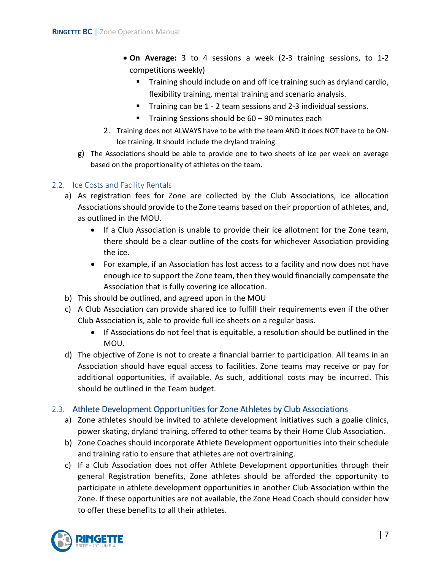- **On Average:** 3 to 4 sessions a week (2-3 training sessions, to 1-2 competitions weekly)
	- **Training should include on and off ice training such as dryland cardio,** flexibility training, mental training and scenario analysis.
	- Training can be 1 2 team sessions and 2-3 individual sessions.
	- Training Sessions should be  $60 90$  minutes each
- 2. Training does not ALWAYS have to be with the team AND it does NOT have to be ON-Ice training. It should include the dryland training.
- g) The Associations should be able to provide one to two sheets of ice per week on average based on the proportionality of athletes on the team.

### <span id="page-7-0"></span>2.2. Ice Costs and Facility Rentals

- a) As registration fees for Zone are collected by the Club Associations, ice allocation Associations should provide to the Zone teams based on their proportion of athletes, and, as outlined in the MOU.
	- If a Club Association is unable to provide their ice allotment for the Zone team, there should be a clear outline of the costs for whichever Association providing the ice.
	- For example, if an Association has lost access to a facility and now does not have enough ice to support the Zone team, then they would financially compensate the Association that is fully covering ice allocation.
- b) This should be outlined, and agreed upon in the MOU
- c) A Club Association can provide shared ice to fulfill their requirements even if the other Club Association is, able to provide full ice sheets on a regular basis.
	- If Associations do not feel that is equitable, a resolution should be outlined in the MOU.
- d) The objective of Zone is not to create a financial barrier to participation. All teams in an Association should have equal access to facilities. Zone teams may receive or pay for additional opportunities, if available. As such, additional costs may be incurred. This should be outlined in the Team budget.

### <span id="page-7-1"></span>2.3. Athlete Development Opportunities for Zone Athletes by Club Associations

- a) Zone athletes should be invited to athlete development initiatives such a goalie clinics, power skating, dryland training, offered to other teams by their Home Club Association.
- b) Zone Coaches should incorporate Athlete Development opportunities into their schedule and training ratio to ensure that athletes are not overtraining.
- c) If a Club Association does not offer Athlete Development opportunities through their general Registration benefits, Zone athletes should be afforded the opportunity to participate in athlete development opportunities in another Club Association within the Zone. If these opportunities are not available, the Zone Head Coach should consider how to offer these benefits to all their athletes.

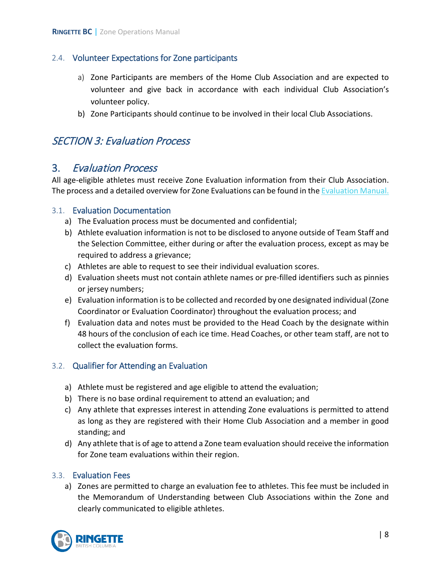### <span id="page-8-0"></span>2.4. Volunteer Expectations for Zone participants

- a) Zone Participants are members of the Home Club Association and are expected to volunteer and give back in accordance with each individual Club Association's volunteer policy.
- b) Zone Participants should continue to be involved in their local Club Associations.

### <span id="page-8-2"></span><span id="page-8-1"></span>SECTION 3: Evaluation Process

### 3. Evaluation Process

All age-eligible athletes must receive Zone Evaluation information from their Club Association. The process and a detailed overview for Zone Evaluations can be found in th[e Evaluation Manual.](https://www.ringettebc.ca/wp-content/uploads/2019/08/Evaluation-Manual-Memorandum-2019-August-27-2019.pdf)

### <span id="page-8-3"></span>3.1. Evaluation Documentation

- a) The Evaluation process must be documented and confidential;
- b) Athlete evaluation information is not to be disclosed to anyone outside of Team Staff and the Selection Committee, either during or after the evaluation process, except as may be required to address a grievance;
- c) Athletes are able to request to see their individual evaluation scores.
- d) Evaluation sheets must not contain athlete names or pre-filled identifiers such as pinnies or jersey numbers;
- e) Evaluation information is to be collected and recorded by one designated individual (Zone Coordinator or Evaluation Coordinator) throughout the evaluation process; and
- f) Evaluation data and notes must be provided to the Head Coach by the designate within 48 hours of the conclusion of each ice time. Head Coaches, or other team staff, are not to collect the evaluation forms.

### <span id="page-8-4"></span>3.2. Qualifier for Attending an Evaluation

- a) Athlete must be registered and age eligible to attend the evaluation;
- b) There is no base ordinal requirement to attend an evaluation; and
- c) Any athlete that expresses interest in attending Zone evaluations is permitted to attend as long as they are registered with their Home Club Association and a member in good standing; and
- d) Any athlete that is of age to attend a Zone team evaluation should receive the information for Zone team evaluations within their region.

### <span id="page-8-5"></span>3.3. Evaluation Fees

a) Zones are permitted to charge an evaluation fee to athletes. This fee must be included in the Memorandum of Understanding between Club Associations within the Zone and clearly communicated to eligible athletes.

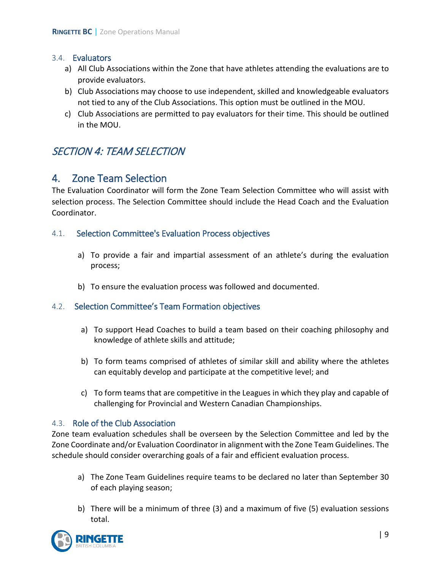#### <span id="page-9-0"></span>3.4. Evaluators

- a) All Club Associations within the Zone that have athletes attending the evaluations are to provide evaluators.
- b) Club Associations may choose to use independent, skilled and knowledgeable evaluators not tied to any of the Club Associations. This option must be outlined in the MOU.
- c) Club Associations are permitted to pay evaluators for their time. This should be outlined in the MOU.

### <span id="page-9-2"></span><span id="page-9-1"></span>SECTION 4: TEAM SELECTION

### 4. Zone Team Selection

The Evaluation Coordinator will form the Zone Team Selection Committee who will assist with selection process. The Selection Committee should include the Head Coach and the Evaluation Coordinator.

### <span id="page-9-3"></span>4.1. Selection Committee's Evaluation Process objectives

- a) To provide a fair and impartial assessment of an athlete's during the evaluation process;
- <span id="page-9-4"></span>b) To ensure the evaluation process was followed and documented.

### 4.2. Selection Committee's Team Formation objectives

- a) To support Head Coaches to build a team based on their coaching philosophy and knowledge of athlete skills and attitude;
- b) To form teams comprised of athletes of similar skill and ability where the athletes can equitably develop and participate at the competitive level; and
- c) To form teams that are competitive in the Leagues in which they play and capable of challenging for Provincial and Western Canadian Championships.

### <span id="page-9-5"></span>4.3. Role of the Club Association

Zone team evaluation schedules shall be overseen by the Selection Committee and led by the Zone Coordinate and/or Evaluation Coordinator in alignment with the Zone Team Guidelines. The schedule should consider overarching goals of a fair and efficient evaluation process.

- a) The Zone Team Guidelines require teams to be declared no later than September 30 of each playing season;
- b) There will be a minimum of three (3) and a maximum of five (5) evaluation sessions total.

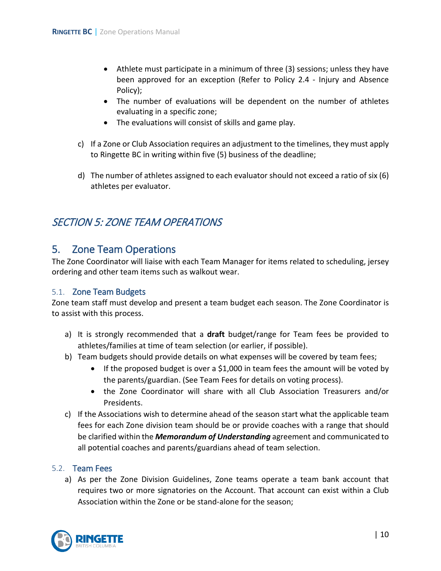- Athlete must participate in a minimum of three (3) sessions; unless they have been approved for an exception (Refer to Policy 2.4 - Injury and Absence Policy);
- The number of evaluations will be dependent on the number of athletes evaluating in a specific zone;
- The evaluations will consist of skills and game play.
- c) If a Zone or Club Association requires an adjustment to the timelines, they must apply to Ringette BC in writing within five (5) business of the deadline;
- d) The number of athletes assigned to each evaluator should not exceed a ratio of six (6) athletes per evaluator.

### <span id="page-10-1"></span><span id="page-10-0"></span>SECTION 5: ZONE TEAM OPERATIONS

### 5. Zone Team Operations

The Zone Coordinator will liaise with each Team Manager for items related to scheduling, jersey ordering and other team items such as walkout wear.

### <span id="page-10-2"></span>5.1. Zone Team Budgets

Zone team staff must develop and present a team budget each season. The Zone Coordinator is to assist with this process.

- a) It is strongly recommended that a **draft** budget/range for Team fees be provided to athletes/families at time of team selection (or earlier, if possible).
- b) Team budgets should provide details on what expenses will be covered by team fees;
	- If the proposed budget is over a \$1,000 in team fees the amount will be voted by the parents/guardian. (See Team Fees for details on voting process).
	- the Zone Coordinator will share with all Club Association Treasurers and/or Presidents.
- c) If the Associations wish to determine ahead of the season start what the applicable team fees for each Zone division team should be or provide coaches with a range that should be clarified within the *Memorandum of Understanding* agreement and communicated to all potential coaches and parents/guardians ahead of team selection.

### <span id="page-10-3"></span>5.2. Team Fees

a) As per the Zone Division Guidelines, Zone teams operate a team bank account that requires two or more signatories on the Account. That account can exist within a Club Association within the Zone or be stand-alone for the season;

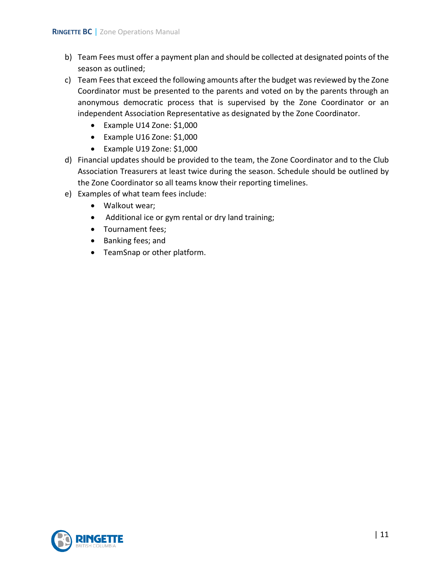- b) Team Fees must offer a payment plan and should be collected at designated points of the season as outlined;
- c) Team Fees that exceed the following amounts after the budget was reviewed by the Zone Coordinator must be presented to the parents and voted on by the parents through an anonymous democratic process that is supervised by the Zone Coordinator or an independent Association Representative as designated by the Zone Coordinator.
	- Example U14 Zone: \$1,000
	- Example U16 Zone: \$1,000
	- Example U19 Zone: \$1,000
- d) Financial updates should be provided to the team, the Zone Coordinator and to the Club Association Treasurers at least twice during the season. Schedule should be outlined by the Zone Coordinator so all teams know their reporting timelines.
- e) Examples of what team fees include:
	- Walkout wear;
	- Additional ice or gym rental or dry land training;
	- Tournament fees;
	- Banking fees; and
	- TeamSnap or other platform.

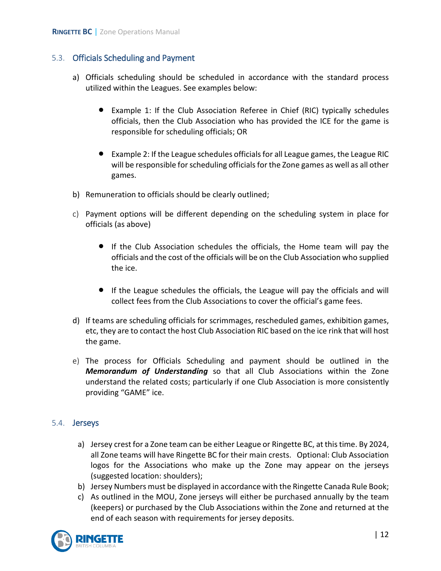### <span id="page-12-0"></span>5.3. Officials Scheduling and Payment

- a) Officials scheduling should be scheduled in accordance with the standard process utilized within the Leagues. See examples below:
	- Example 1: If the Club Association Referee in Chief (RIC) typically schedules officials, then the Club Association who has provided the ICE for the game is responsible for scheduling officials; OR
	- Example 2: If the League schedules officials for all League games, the League RIC will be responsible for scheduling officials for the Zone games as well as all other games.
- b) Remuneration to officials should be clearly outlined;
- c) Payment options will be different depending on the scheduling system in place for officials (as above)
	- If the Club Association schedules the officials, the Home team will pay the officials and the cost of the officials will be on the Club Association who supplied the ice.
	- If the League schedules the officials, the League will pay the officials and will collect fees from the Club Associations to cover the official's game fees.
- d) If teams are scheduling officials for scrimmages, rescheduled games, exhibition games, etc, they are to contact the host Club Association RIC based on the ice rink that will host the game.
- e) The process for Officials Scheduling and payment should be outlined in the *Memorandum of Understanding* so that all Club Associations within the Zone understand the related costs; particularly if one Club Association is more consistently providing "GAME" ice.

### <span id="page-12-1"></span>5.4. Jerseys

- a) Jersey crest for a Zone team can be either League or Ringette BC, at this time. By 2024, all Zone teams will have Ringette BC for their main crests. Optional: Club Association logos for the Associations who make up the Zone may appear on the jerseys (suggested location: shoulders);
- b) Jersey Numbers must be displayed in accordance with the Ringette Canada Rule Book;
- c) As outlined in the MOU, Zone jerseys will either be purchased annually by the team (keepers) or purchased by the Club Associations within the Zone and returned at the end of each season with requirements for jersey deposits.

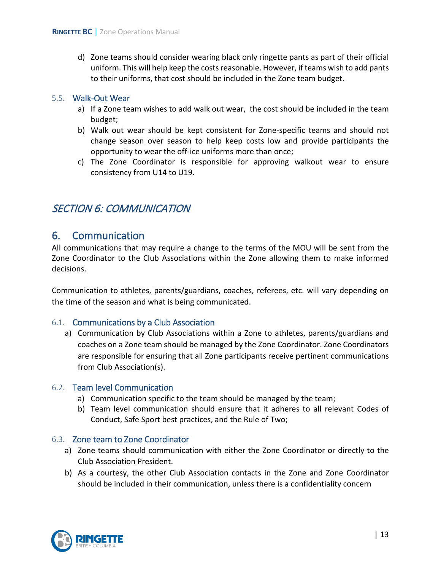d) Zone teams should consider wearing black only ringette pants as part of their official uniform. This will help keep the costs reasonable. However, if teams wish to add pants to their uniforms, that cost should be included in the Zone team budget.

#### <span id="page-13-0"></span>5.5. Walk-Out Wear

- a) If a Zone team wishes to add walk out wear, the cost should be included in the team budget;
- b) Walk out wear should be kept consistent for Zone-specific teams and should not change season over season to help keep costs low and provide participants the opportunity to wear the off-ice uniforms more than once;
- c) The Zone Coordinator is responsible for approving walkout wear to ensure consistency from U14 to U19.

### <span id="page-13-2"></span><span id="page-13-1"></span>SECTION 6: COMMUNICATION

### 6. Communication

All communications that may require a change to the terms of the MOU will be sent from the Zone Coordinator to the Club Associations within the Zone allowing them to make informed decisions.

Communication to athletes, parents/guardians, coaches, referees, etc. will vary depending on the time of the season and what is being communicated.

#### <span id="page-13-3"></span>6.1. Communications by a Club Association

a) Communication by Club Associations within a Zone to athletes, parents/guardians and coaches on a Zone team should be managed by the Zone Coordinator. Zone Coordinators are responsible for ensuring that all Zone participants receive pertinent communications from Club Association(s).

#### <span id="page-13-4"></span>6.2. Team level Communication

- a) Communication specific to the team should be managed by the team;
- b) Team level communication should ensure that it adheres to all relevant Codes of Conduct, Safe Sport best practices, and the Rule of Two;

### <span id="page-13-5"></span>6.3. Zone team to Zone Coordinator

- a) Zone teams should communication with either the Zone Coordinator or directly to the Club Association President.
- b) As a courtesy, the other Club Association contacts in the Zone and Zone Coordinator should be included in their communication, unless there is a confidentiality concern

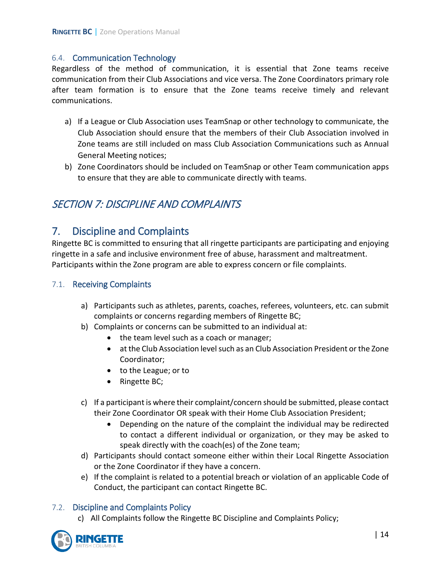### <span id="page-14-0"></span>6.4. Communication Technology

Regardless of the method of communication, it is essential that Zone teams receive communication from their Club Associations and vice versa. The Zone Coordinators primary role after team formation is to ensure that the Zone teams receive timely and relevant communications.

- a) If a League or Club Association uses TeamSnap or other technology to communicate, the Club Association should ensure that the members of their Club Association involved in Zone teams are still included on mass Club Association Communications such as Annual General Meeting notices;
- b) Zone Coordinators should be included on TeamSnap or other Team communication apps to ensure that they are able to communicate directly with teams.

### <span id="page-14-2"></span><span id="page-14-1"></span>SECTION 7: DISCIPLINE AND COMPLAINTS

### 7. Discipline and Complaints

Ringette BC is committed to ensuring that all ringette participants are participating and enjoying ringette in a safe and inclusive environment free of abuse, harassment and maltreatment. Participants within the Zone program are able to express concern or file complaints.

### <span id="page-14-3"></span>7.1. Receiving Complaints

- a) Participants such as athletes, parents, coaches, referees, volunteers, etc. can submit complaints or concerns regarding members of Ringette BC;
- b) Complaints or concerns can be submitted to an individual at:
	- the team level such as a coach or manager;
	- at the Club Association level such as an Club Association President or the Zone Coordinator;
	- to the League; or to
	- Ringette BC;
- c) If a participant is where their complaint/concern should be submitted, please contact their Zone Coordinator OR speak with their Home Club Association President;
	- Depending on the nature of the complaint the individual may be redirected to contact a different individual or organization, or they may be asked to speak directly with the coach(es) of the Zone team;
- d) Participants should contact someone either within their Local Ringette Association or the Zone Coordinator if they have a concern.
- e) If the complaint is related to a potential breach or violation of an applicable Code of Conduct, the participant can contact Ringette BC.

### <span id="page-14-4"></span>7.2. Discipline and Complaints Policy

c) All Complaints follow the Ringette BC Discipline and Complaints Policy;

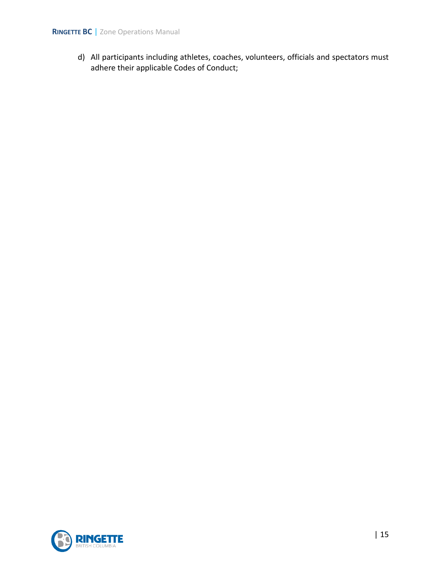d) All participants including athletes, coaches, volunteers, officials and spectators must adhere their applicable Codes of Conduct;

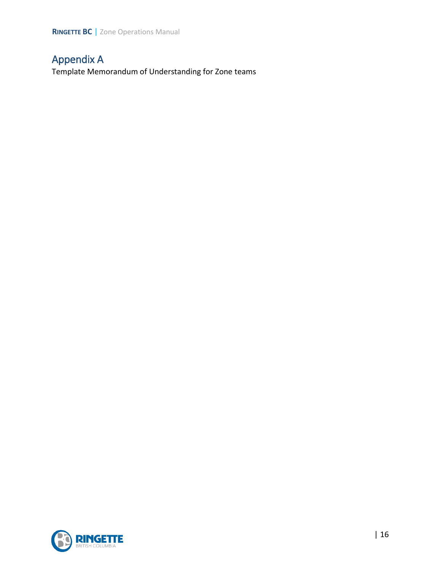## <span id="page-16-0"></span>Appendix A

Template Memorandum of Understanding for Zone teams

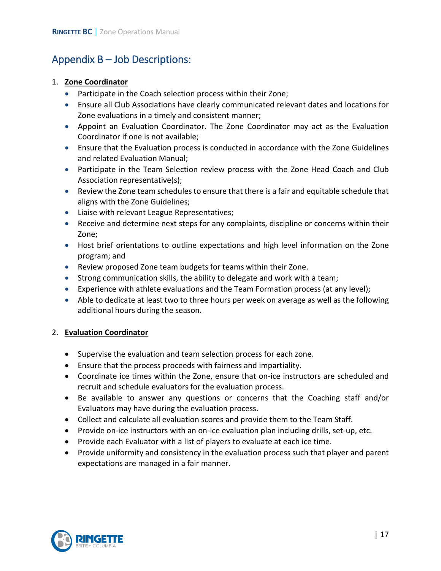## <span id="page-17-0"></span>Appendix B – Job Descriptions:

#### 1. **Zone Coordinator**

- Participate in the Coach selection process within their Zone;
- Ensure all Club Associations have clearly communicated relevant dates and locations for Zone evaluations in a timely and consistent manner;
- Appoint an Evaluation Coordinator. The Zone Coordinator may act as the Evaluation Coordinator if one is not available;
- Ensure that the Evaluation process is conducted in accordance with the Zone Guidelines and related Evaluation Manual;
- Participate in the Team Selection review process with the Zone Head Coach and Club Association representative(s);
- Review the Zone team schedules to ensure that there is a fair and equitable schedule that aligns with the Zone Guidelines;
- Liaise with relevant League Representatives;
- Receive and determine next steps for any complaints, discipline or concerns within their Zone;
- Host brief orientations to outline expectations and high level information on the Zone program; and
- Review proposed Zone team budgets for teams within their Zone.
- Strong communication skills, the ability to delegate and work with a team;
- Experience with athlete evaluations and the Team Formation process (at any level);
- Able to dedicate at least two to three hours per week on average as well as the following additional hours during the season.

### 2. **Evaluation Coordinator**

- Supervise the evaluation and team selection process for each zone.
- Ensure that the process proceeds with fairness and impartiality.
- Coordinate ice times within the Zone, ensure that on-ice instructors are scheduled and recruit and schedule evaluators for the evaluation process.
- Be available to answer any questions or concerns that the Coaching staff and/or Evaluators may have during the evaluation process.
- Collect and calculate all evaluation scores and provide them to the Team Staff.
- Provide on-ice instructors with an on-ice evaluation plan including drills, set-up, etc.
- Provide each Evaluator with a list of players to evaluate at each ice time.
- Provide uniformity and consistency in the evaluation process such that player and parent expectations are managed in a fair manner.

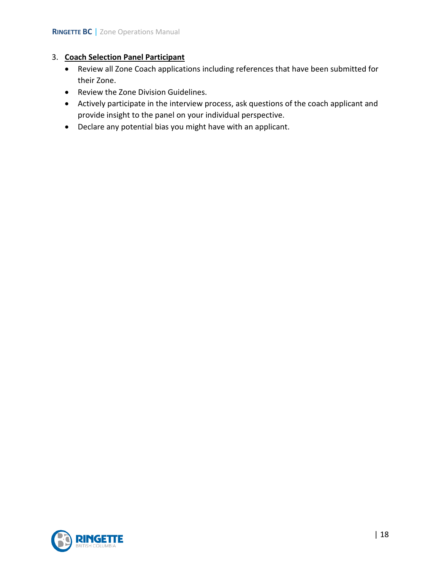### 3. **Coach Selection Panel Participant**

- Review all Zone Coach applications including references that have been submitted for their Zone.
- Review the Zone Division Guidelines.
- Actively participate in the interview process, ask questions of the coach applicant and provide insight to the panel on your individual perspective.
- Declare any potential bias you might have with an applicant.

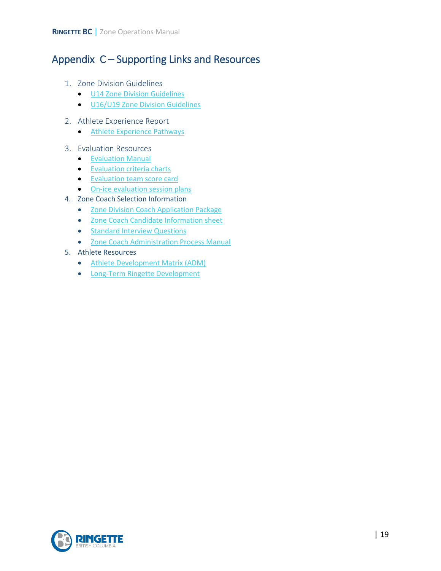## <span id="page-19-0"></span>Appendix C – Supporting Links and Resources

- 1. Zone Division Guidelines
	- [U14 Zone Division Guidelines](https://www.ringettebc.ca/wp-content/uploads/2020/07/Updated-Jul-30-2020-U14-Zone-Division-Guidelines.pdf)
	- [U16/U19 Zone Division Guidelines](https://www.ringettebc.ca/wp-content/uploads/2020/04/Ringette-BC-U16-U19-Zone-Division-Guidelines-v.-6-Dec-20-2019.pdf)
- 2. Athlete Experience Report
	- [Athlete Experience Pathways](https://www.ringettebc.ca/wp-content/uploads/2019/04/3-Athlete-Experience_Ringette-BC-2019.pdf)
- 3. Evaluation Resources
	- [Evaluation Manual](https://www.ringettebc.ca/wp-content/uploads/2019/08/Evaluation-Manual-Memorandum-2019-August-27-2019.pdf)
	- **[Evaluation criteria charts](https://www.ringettebc.ca/wp-content/uploads/2018/08/Performance-Criteria-chart-for-U14-Evaluations-Form-with-Goalie-Evaluation.pdf)**
	- [Evaluation team score card](https://docs.google.com/spreadsheets/d/1aGZHdd9AMPd3WdJeQ3ABfTW42uFFv4Vhu_tKqQ5LCyU/edit#gid=894685183)
	- [On-ice evaluation session plans](https://www.ringettebc.ca/athletes/player-evaluations/)
- 4. Zone Coach Selection Information
	- [Zone Division Coach Application Package](https://www.ringettebc.ca/wp-content/uploads/2020/09/Zone-Division-Coach-Application-Package-4-1.pdf)
	- [Zone Coach Candidate Information sheet](https://www.ringettebc.ca/wp-content/uploads/2020/09/Zone-Coach-Candidate-Information-Sheet-2.pdf)
	- Standard Interview Questions
	- [Zone Coach Administration Process Manual](https://www.ringettebc.ca/wp-content/uploads/2020/09/Zone-Division-Coach-Application-Administrator-Information-Package-2020.pdf)
- 5. Athlete Resources
	- [Athlete Development Matrix \(ADM\)](http://ltrd.ringette.ca/wp-content/uploads/2020/09/Ringette-Canada-ADM-2020-PG-Eng-1.pdf)
	- [Long-Term Ringette Development](http://ltrd.ringette.ca/)

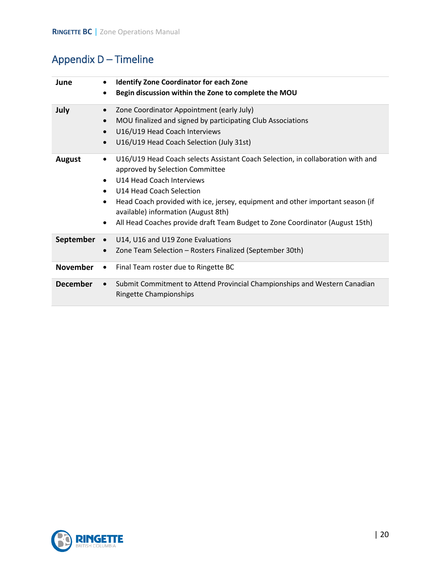# <span id="page-20-0"></span>Appendix D – Timeline

| June            | <b>Identify Zone Coordinator for each Zone</b><br>Begin discussion within the Zone to complete the MOU<br>$\bullet$                                                                                                                                                                                                                                                                                                                                   |
|-----------------|-------------------------------------------------------------------------------------------------------------------------------------------------------------------------------------------------------------------------------------------------------------------------------------------------------------------------------------------------------------------------------------------------------------------------------------------------------|
| July            | Zone Coordinator Appointment (early July)<br>$\bullet$<br>MOU finalized and signed by participating Club Associations<br>$\bullet$<br>U16/U19 Head Coach Interviews<br>$\bullet$<br>U16/U19 Head Coach Selection (July 31st)<br>$\bullet$                                                                                                                                                                                                             |
| <b>August</b>   | U16/U19 Head Coach selects Assistant Coach Selection, in collaboration with and<br>$\bullet$<br>approved by Selection Committee<br>U14 Head Coach Interviews<br>$\bullet$<br>U14 Head Coach Selection<br>$\bullet$<br>Head Coach provided with ice, jersey, equipment and other important season (if<br>$\bullet$<br>available) information (August 8th)<br>All Head Coaches provide draft Team Budget to Zone Coordinator (August 15th)<br>$\bullet$ |
| September       | U14, U16 and U19 Zone Evaluations<br>Zone Team Selection - Rosters Finalized (September 30th)<br>$\bullet$                                                                                                                                                                                                                                                                                                                                            |
| <b>November</b> | Final Team roster due to Ringette BC<br>$\bullet$                                                                                                                                                                                                                                                                                                                                                                                                     |
| <b>December</b> | Submit Commitment to Attend Provincial Championships and Western Canadian<br>$\bullet$<br><b>Ringette Championships</b>                                                                                                                                                                                                                                                                                                                               |

<span id="page-20-1"></span>